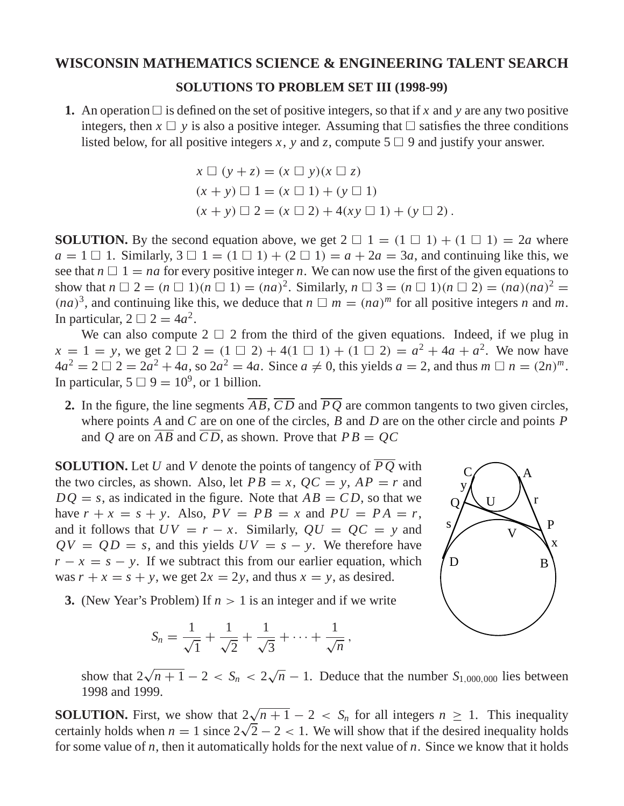## **WISCONSIN MATHEMATICS SCIENCE & ENGINEERING TALENT SEARCH**

## **SOLUTIONS TO PROBLEM SET III (1998-99)**

**1.** An operation  $\Box$  is defined on the set of positive integers, so that if x and y are any two positive integers, then  $x \square y$  is also a positive integer. Assuming that  $\square$  satisfies the three conditions listed below, for all positive integers *x*, *y* and *z*, compute 5  $\Box$  9 and justify your answer.

$$
x \Box (y + z) = (x \Box y)(x \Box z)
$$
  
(x + y) \Box 1 = (x \Box 1) + (y \Box 1)  
(x + y) \Box 2 = (x \Box 2) + 4(xy \Box 1) + (y \Box 2).

**SOLUTION.** By the second equation above, we get  $2 \square 1 = (1 \square 1) + (1 \square 1) = 2a$  where  $a = 1 \square 1$ . Similarly,  $3 \square 1 = (1 \square 1) + (2 \square 1) = a + 2a = 3a$ , and continuing like this, we see that  $n \square 1 = na$  for every positive integer *n*. We can now use the first of the given equations to show that  $n \square 2 = (n \square 1)(n \square 1) = (na)^2$ . Similarly,  $n \square 3 = (n \square 1)(n \square 2) = (na)(na)^2$  $(na)^3$ , and continuing like this, we deduce that  $n \square m = (na)^m$  for all positive integers *n* and *m*. In particular,  $2 \Box 2 = 4a^2$ .

We can also compute  $2 \square 2$  from the third of the given equations. Indeed, if we plug in  $x = 1 = y$ , we get  $2 \square 2 = (1 \square 2) + 4(1 \square 1) + (1 \square 2) = a^2 + 4a + a^2$ . We now have  $4a^2 = 2 \Box 2 = 2a^2 + 4a$ , so  $2a^2 = 4a$ . Since  $a \neq 0$ , this yields  $a = 2$ , and thus  $m \Box n = (2n)^m$ . In particular,  $5 \Box 9 = 10^9$ , or 1 billion.

**2.** In the figure, the line segments  $\overline{AB}$ ,  $\overline{CD}$  and  $\overline{PQ}$  are common tangents to two given circles, where points *A* and *C* are on one of the circles, *B* and *D* are on the other circle and points *P* and *Q* are on  $\overline{AB}$  and  $\overline{CD}$ , as shown. Prove that  $PB = QC$ 

**SOLUTION.** Let *U* and *V* denote the points of tangency of  $\overline{PO}$  with the two circles, as shown. Also, let  $PB = x$ ,  $QC = y$ ,  $AP = r$  and  $DQ = s$ , as indicated in the figure. Note that  $AB = CD$ , so that we have  $r + x = s + y$ . Also,  $PV = PB = x$  and  $PU = PA = r$ , and it follows that  $UV = r - x$ . Similarly,  $QU = QC = y$  and  $QV = QD = s$ , and this yields  $UV = s - y$ . We therefore have  $r - x = s - y$ . If we subtract this from our earlier equation, which was  $r + x = s + y$ , we get  $2x = 2y$ , and thus  $x = y$ , as desired.

- A B C D P  $\Omega$ V r x s y
- **3.** (New Year's Problem) If *n* > 1 is an integer and if we write

$$
S_n = \frac{1}{\sqrt{1}} + \frac{1}{\sqrt{2}} + \frac{1}{\sqrt{3}} + \cdots + \frac{1}{\sqrt{n}},
$$

show that  $2\sqrt{n+1} - 2 < S_n < 2\sqrt{n} - 1$ . Deduce that the number  $S_{1,000,000}$  lies between 1998 and 1999.

**SOLUTION.** First, we show that  $2\sqrt{n+1} - 2 < S_n$  for all integers  $n \ge 1$ . This inequality certainly holds when  $n = 1$  since  $2\sqrt{2} - 2 < 1$ . We will show that if the desired inequality holds for some value of *n*, then it automatically holds for the next value of *n*. Since we know that it holds